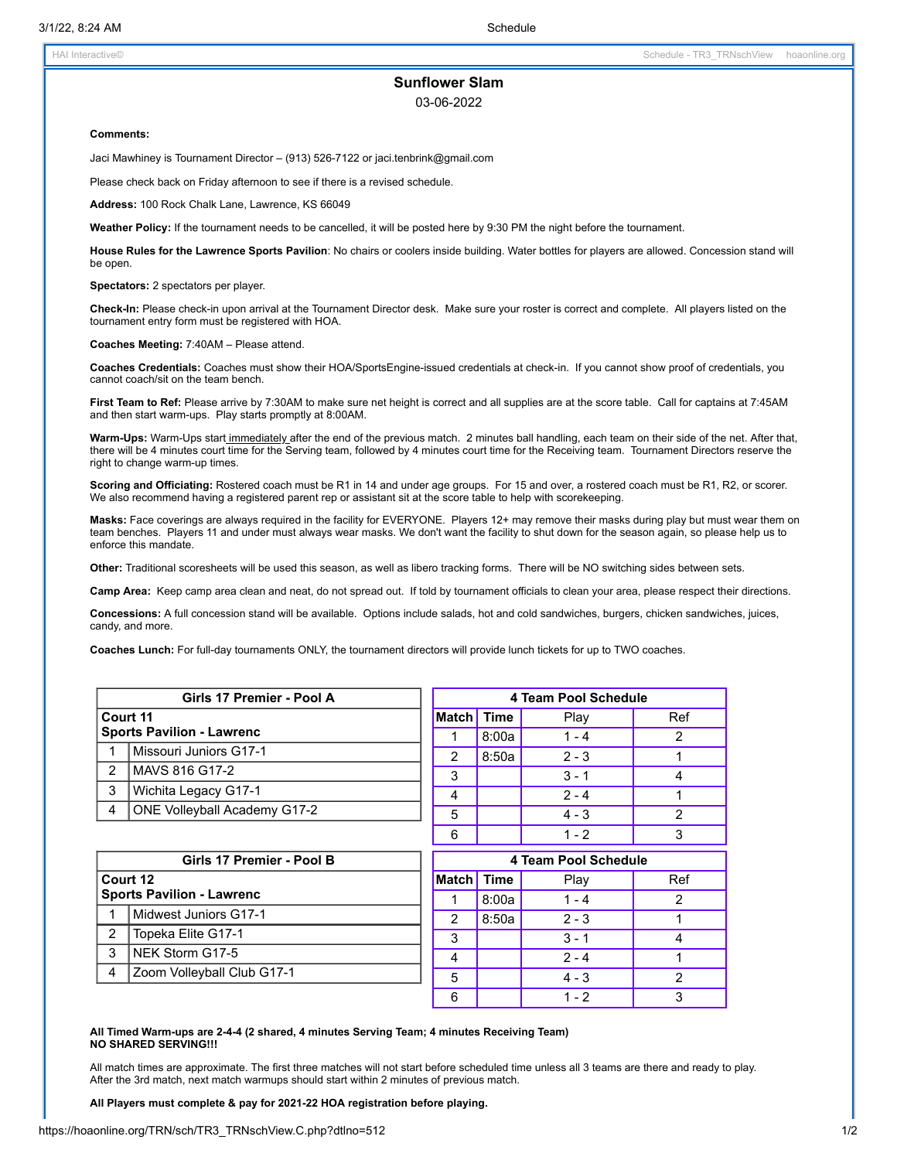## **Sunflower Slam**

03-06-2022

## **Comments:**

Jaci Mawhiney is Tournament Director – (913) 526-7122 or jaci.tenbrink@gmail.com

Please check back on Friday afternoon to see if there is a revised schedule.

**Address:** 100 Rock Chalk Lane, Lawrence, KS 66049

**Weather Policy:** If the tournament needs to be cancelled, it will be posted here by 9:30 PM the night before the tournament.

**House Rules for the Lawrence Sports Pavilion**: No chairs or coolers inside building. Water bottles for players are allowed. Concession stand will be open.

**Spectators:** 2 spectators per player.

**Check-In:** Please check-in upon arrival at the Tournament Director desk. Make sure your roster is correct and complete. All players listed on the tournament entry form must be registered with HOA.

**Coaches Meeting:** 7:40AM – Please attend.

**Coaches Credentials:** Coaches must show their HOA/SportsEngine-issued credentials at check-in. If you cannot show proof of credentials, you cannot coach/sit on the team bench.

**First Team to Ref:** Please arrive by 7:30AM to make sure net height is correct and all supplies are at the score table. Call for captains at 7:45AM and then start warm-ups. Play starts promptly at 8:00AM.

**Warm-Ups:** Warm-Ups start immediately after the end of the previous match. 2 minutes ball handling, each team on their side of the net. After that, there will be 4 minutes court time for the Serving team, followed by 4 minutes court time for the Receiving team. Tournament Directors reserve the right to change warm-up times.

**Scoring and Officiating:** Rostered coach must be R1 in 14 and under age groups. For 15 and over, a rostered coach must be R1, R2, or scorer. We also recommend having a registered parent rep or assistant sit at the score table to help with scorekeeping.

**Masks:** Face coverings are always required in the facility for EVERYONE. Players 12+ may remove their masks during play but must wear them on team benches. Players 11 and under must always wear masks. We don't want the facility to shut down for the season again, so please help us to enforce this mandate.

**Other:** Traditional scoresheets will be used this season, as well as libero tracking forms. There will be NO switching sides between sets.

**Camp Area:** Keep camp area clean and neat, do not spread out. If told by tournament officials to clean your area, please respect their directions.

**Concessions:** A full concession stand will be available. Options include salads, hot and cold sandwiches, burgers, chicken sandwiches, juices, candy, and more.

**Coaches Lunch:** For full-day tournaments ONLY, the tournament directors will provide lunch tickets for up to TWO coaches.

| Girls 17 Premier - Pool A        |                                     | 4 Team Pool Schedule |       |         |     |
|----------------------------------|-------------------------------------|----------------------|-------|---------|-----|
| Court 11                         |                                     | Match Time           |       | Play    | Ref |
| <b>Sports Pavilion - Lawrenc</b> |                                     |                      | 8:00a | $1 - 4$ | 2   |
|                                  | Missouri Juniors G17-1              | າ                    | 8:50a | $2 - 3$ |     |
| $\mathcal{P}$                    | MAVS 816 G17-2                      | 3                    |       | $3 - 1$ | 4   |
| 3                                | Wichita Legacy G17-1                |                      |       | $2 - 4$ |     |
| 4                                | <b>ONE Volleyball Academy G17-2</b> | 5                    |       | $4 - 3$ | 2   |
|                                  |                                     | 6                    |       | $1 - 2$ |     |

| Girls 17 Premier - Pool B        |                            | 4 Team Pool Schedule |       |         |     |
|----------------------------------|----------------------------|----------------------|-------|---------|-----|
| Court 12                         |                            | <b>Match</b> Time    |       | Play    | Ref |
| <b>Sports Pavilion - Lawrenc</b> |                            |                      | 8:00a | $1 - 4$ |     |
|                                  | Midwest Juniors G17-1      | 2                    | 8:50a | $2 - 3$ |     |
| 2                                | Topeka Elite G17-1         | 3                    |       | $3 - 1$ |     |
| 3                                | NEK Storm G17-5            | 4                    |       | $2 - 4$ |     |
| $\overline{A}$                   | Zoom Volleyball Club G17-1 | 5                    |       | $4 - 3$ |     |
|                                  |                            | 6                    |       | 1 - 2   |     |

## **All Timed Warm-ups are 2-4-4 (2 shared, 4 minutes Serving Team; 4 minutes Receiving Team) NO SHARED SERVING!!!**

All match times are approximate. The first three matches will not start before scheduled time unless all 3 teams are there and ready to play. After the 3rd match, next match warmups should start within 2 minutes of previous match.

**All Players must complete & pay for 2021-22 HOA registration before playing.**